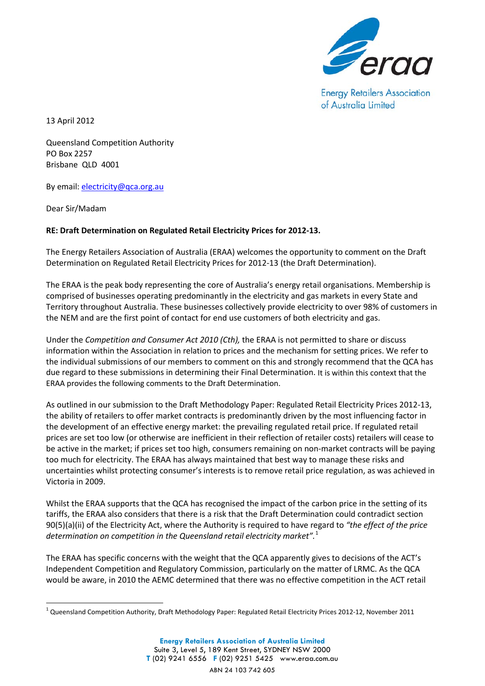

**Energy Retailers Association** of Australia Limited

13 April 2012

Queensland Competition Authority PO Box 2257 Brisbane QLD 4001

By email: [electricity@qca.org.au](mailto:electricity@qca.org.au)

Dear Sir/Madam

## **RE: Draft Determination on Regulated Retail Electricity Prices for 2012-13.**

The Energy Retailers Association of Australia (ERAA) welcomes the opportunity to comment on the Draft Determination on Regulated Retail Electricity Prices for 2012-13 (the Draft Determination).

The ERAA is the peak body representing the core of Australia's energy retail organisations. Membership is comprised of businesses operating predominantly in the electricity and gas markets in every State and Territory throughout Australia. These businesses collectively provide electricity to over 98% of customers in the NEM and are the first point of contact for end use customers of both electricity and gas.

Under the *Competition and Consumer Act 2010 (Cth),* the ERAA is not permitted to share or discuss information within the Association in relation to prices and the mechanism for setting prices. We refer to the individual submissions of our members to comment on this and strongly recommend that the QCA has due regard to these submissions in determining their Final Determination. It is within this context that the ERAA provides the following comments to the Draft Determination.

As outlined in our submission to the Draft Methodology Paper: Regulated Retail Electricity Prices 2012-13, the ability of retailers to offer market contracts is predominantly driven by the most influencing factor in the development of an effective energy market: the prevailing regulated retail price. If regulated retail prices are set too low (or otherwise are inefficient in their reflection of retailer costs) retailers will cease to be active in the market; if prices set too high, consumers remaining on non-market contracts will be paying too much for electricity. The ERAA has always maintained that best way to manage these risks and uncertainties whilst protecting consumer's interests is to remove retail price regulation, as was achieved in Victoria in 2009.

Whilst the ERAA supports that the QCA has recognised the impact of the carbon price in the setting of its tariffs, the ERAA also considers that there is a risk that the Draft Determination could contradict section 90(5)(a)(ii) of the Electricity Act, where the Authority is required to have regard to *"the effect of the price determination on competition in the Queensland retail electricity market".* [1](#page-0-0)

The ERAA has specific concerns with the weight that the QCA apparently gives to decisions of the ACT's Independent Competition and Regulatory Commission, particularly on the matter of LRMC. As the QCA would be aware, in 2010 the AEMC determined that there was no effective competition in the ACT retail

<span id="page-0-0"></span> $1$  Queensland Competition Authority, Draft Methodology Paper: Regulated Retail Electricity Prices 2012-12, November 2011